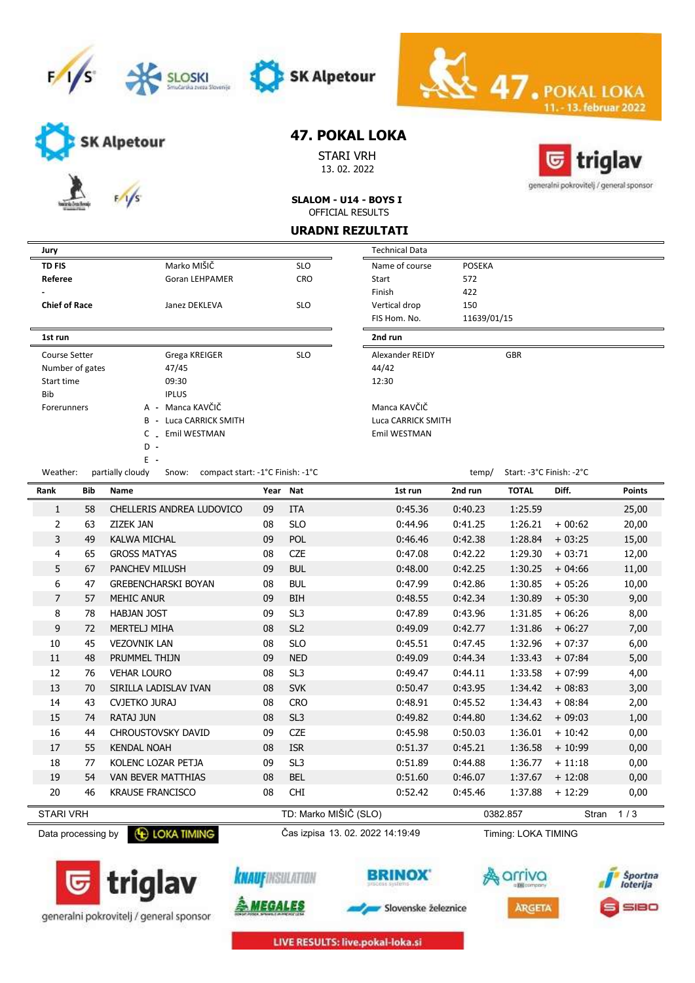





SK Alpetour

STARI VRH 13. 02. 2022



13. februar 2022

generalni pokrovitelj / general sponsor

| SLALOM - U14 - BOYS I |  |
|-----------------------|--|
| OFFICIAL RESULTS      |  |

### URADNI REZULTATI

Technical Data

| <b>Jury</b>          |                               |            | <b>Technical Data</b> |               |
|----------------------|-------------------------------|------------|-----------------------|---------------|
| <b>TD FIS</b>        | Marko MIŠIČ                   | <b>SLO</b> | Name of course        | <b>POSEKA</b> |
| Referee              | <b>Goran LEHPAMER</b>         | <b>CRO</b> | Start                 | 572           |
|                      |                               |            | Finish                | 422           |
| <b>Chief of Race</b> | Janez DEKLEVA                 | <b>SLO</b> | Vertical drop         | 150           |
|                      |                               |            | FIS Hom. No.          | 11639/0       |
| 1st run              |                               |            | 2nd run               |               |
| Course Setter        | Grega KREIGER                 | <b>SLO</b> | Alexander REIDY       |               |
| Number of gates      | 47/45                         |            | 44/42                 |               |
| Start time           | 09:30                         |            | 12:30                 |               |
| <b>Bib</b>           | <b>IPLUS</b>                  |            |                       |               |
| <b>Forerunners</b>   | A - Manca KAVČIČ              |            | Manca KAVČIČ          |               |
|                      | <b>B</b> - Luca CARRICK SMITH |            | Luca CARRICK SMITH    |               |
|                      | Emil WESTMAN<br>C             |            | Emil WESTMAN          |               |
|                      | D<br>$\overline{\phantom{a}}$ |            |                       |               |

Weather: partially cloudy Snow: compact start: -1°C Finish: -1°C

E -

| Start              | 572         |                          |  |
|--------------------|-------------|--------------------------|--|
| Finish             | 422         |                          |  |
| Vertical drop      | 150         |                          |  |
| FIS Hom, No.       | 11639/01/15 |                          |  |
| 2nd run            |             |                          |  |
| Alexander REIDY    |             | <b>GBR</b>               |  |
| 44/42              |             |                          |  |
| 12:30              |             |                          |  |
| Manca KAVČIČ       |             |                          |  |
|                    |             |                          |  |
| Luca CARRICK SMITH |             |                          |  |
| Emil WESTMAN       |             |                          |  |
|                    |             |                          |  |
|                    |             |                          |  |
|                    | temp/       | Start: -3°C Finish: -2°C |  |

 $\ddot{\sim}$  47. PO

| Rank             | Bib | <b>Name</b>                | Year Nat |                       | 1st run | 2nd run | <b>TOTAL</b> | Diff.        | <b>Points</b> |
|------------------|-----|----------------------------|----------|-----------------------|---------|---------|--------------|--------------|---------------|
| 1                | 58  | CHELLERIS ANDREA LUDOVICO  | 09       | <b>ITA</b>            | 0:45.36 | 0:40.23 | 1:25.59      |              | 25,00         |
| 2                | 63  | ZIZEK JAN                  | 08       | <b>SLO</b>            | 0:44.96 | 0:41.25 | 1:26.21      | $+00:62$     | 20,00         |
| 3                | 49  | <b>KALWA MICHAL</b>        | 09       | POL                   | 0:46.46 | 0:42.38 | 1:28.84      | $+03:25$     | 15,00         |
| 4                | 65  | <b>GROSS MATYAS</b>        | 08       | <b>CZE</b>            | 0:47.08 | 0:42.22 | 1:29.30      | $+03:71$     | 12,00         |
| 5                | 67  | <b>PANCHEV MILUSH</b>      | 09       | <b>BUL</b>            | 0:48.00 | 0:42.25 | 1:30.25      | $+04:66$     | 11,00         |
| 6                | 47  | <b>GREBENCHARSKI BOYAN</b> | 08       | <b>BUL</b>            | 0:47.99 | 0:42.86 | 1:30.85      | $+05:26$     | 10,00         |
| $\overline{7}$   | 57  | <b>MEHIC ANUR</b>          | 09       | <b>BIH</b>            | 0:48.55 | 0:42.34 | 1:30.89      | $+05:30$     | 9,00          |
| 8                | 78  | <b>HABJAN JOST</b>         | 09       | SL <sub>3</sub>       | 0:47.89 | 0:43.96 | 1:31.85      | $+06:26$     | 8,00          |
| 9                | 72  | MERTELJ MIHA               | 08       | SL <sub>2</sub>       | 0:49.09 | 0:42.77 | 1:31.86      | $+06:27$     | 7,00          |
| 10               | 45  | <b>VEZOVNIK LAN</b>        | 08       | <b>SLO</b>            | 0:45.51 | 0:47.45 | 1:32.96      | $+07:37$     | 6,00          |
| 11               | 48  | PRUMMEL THIJN              | 09       | <b>NED</b>            | 0:49.09 | 0:44.34 | 1:33.43      | $+07:84$     | 5,00          |
| 12               | 76  | <b>VEHAR LOURO</b>         | 08       | SL <sub>3</sub>       | 0:49.47 | 0:44.11 | 1:33.58      | $+07:99$     | 4,00          |
| 13               | 70  | SIRILLA LADISLAV IVAN      | 08       | <b>SVK</b>            | 0:50.47 | 0:43.95 | 1:34.42      | $+08:83$     | 3,00          |
| 14               | 43  | <b>CVJETKO JURAJ</b>       | 08       | <b>CRO</b>            | 0:48.91 | 0:45.52 | 1:34.43      | $+08:84$     | 2,00          |
| 15               | 74  | <b>RATAJ JUN</b>           | 08       | SL <sub>3</sub>       | 0:49.82 | 0:44.80 | 1:34.62      | $+09:03$     | 1,00          |
| 16               | 44  | <b>CHROUSTOVSKY DAVID</b>  | 09       | <b>CZE</b>            | 0:45.98 | 0:50.03 | 1:36.01      | $+10:42$     | 0,00          |
| 17               | 55  | <b>KENDAL NOAH</b>         | 08       | <b>ISR</b>            | 0:51.37 | 0:45.21 | 1:36.58      | $+10:99$     | 0,00          |
| 18               | 77  | KOLENC LOZAR PETJA         | 09       | SL <sub>3</sub>       | 0:51.89 | 0:44.88 | 1:36.77      | $+11:18$     | 0,00          |
| 19               | 54  | VAN BEVER MATTHIAS         | 08       | <b>BEL</b>            | 0:51.60 | 0:46.07 | 1:37.67      | $+12:08$     | 0,00          |
| 20               | 46  | <b>KRAUSE FRANCISCO</b>    | 08       | <b>CHI</b>            | 0:52.42 | 0:45.46 | 1:37.88      | $+12:29$     | 0,00          |
| <b>STARI VRH</b> |     |                            |          | TD: Marko MIŠIČ (SLO) |         |         | 0382.857     | <b>Stran</b> | 1/3           |

Data processing by **C** LOKA TIMING Cas izpisa 13. 02. 2022 14:19:49









Slovenske železnice





LIVE RESULTS: live.pokal-loka.si